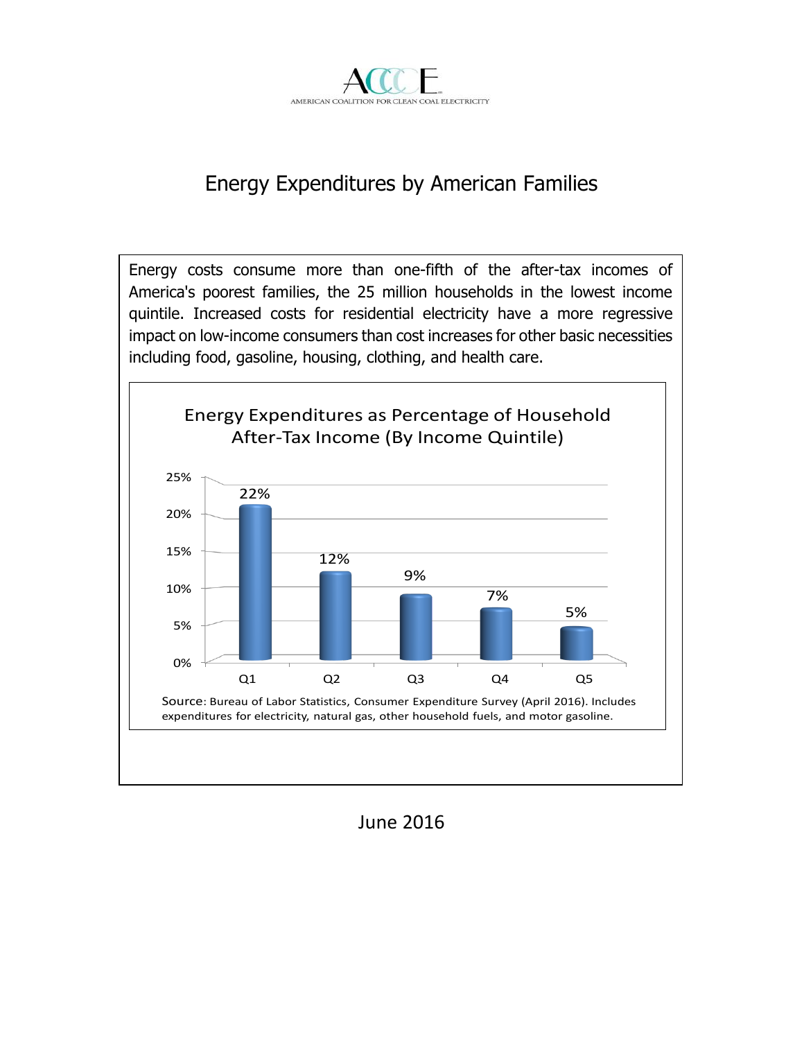

# Energy Expenditures by American Families

Energy costs consume more than one-fifth of the after-tax incomes of America's poorest families, the 25 million households in the lowest income quintile. Increased costs for residential electricity have a more regressive impact on low-income consumers than cost increases for other basic necessities including food, gasoline, housing, clothing, and health care.



### June 2016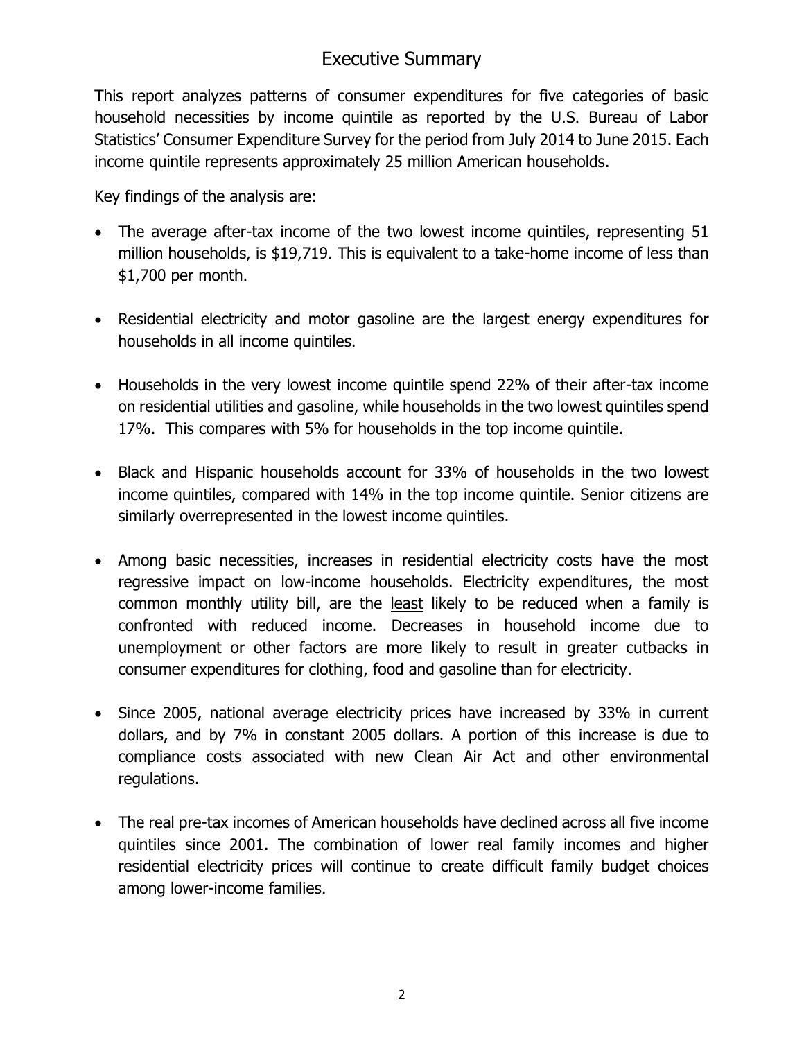## Executive Summary

This report analyzes patterns of consumer expenditures for five categories of basic household necessities by income quintile as reported by the U.S. Bureau of Labor Statistics' Consumer Expenditure Survey for the period from July 2014 to June 2015. Each income quintile represents approximately 25 million American households.

Key findings of the analysis are:

- The average after-tax income of the two lowest income quintiles, representing 51 million households, is \$19,719. This is equivalent to a take-home income of less than \$1,700 per month.
- Residential electricity and motor gasoline are the largest energy expenditures for households in all income quintiles.
- Households in the very lowest income quintile spend 22% of their after-tax income on residential utilities and gasoline, while households in the two lowest quintiles spend 17%. This compares with 5% for households in the top income quintile.
- Black and Hispanic households account for 33% of households in the two lowest income quintiles, compared with 14% in the top income quintile. Senior citizens are similarly overrepresented in the lowest income quintiles.
- Among basic necessities, increases in residential electricity costs have the most regressive impact on low-income households. Electricity expenditures, the most common monthly utility bill, are the least likely to be reduced when a family is confronted with reduced income. Decreases in household income due to unemployment or other factors are more likely to result in greater cutbacks in consumer expenditures for clothing, food and gasoline than for electricity.
- Since 2005, national average electricity prices have increased by 33% in current dollars, and by 7% in constant 2005 dollars. A portion of this increase is due to compliance costs associated with new Clean Air Act and other environmental regulations.
- The real pre-tax incomes of American households have declined across all five income quintiles since 2001. The combination of lower real family incomes and higher residential electricity prices will continue to create difficult family budget choices among lower-income families.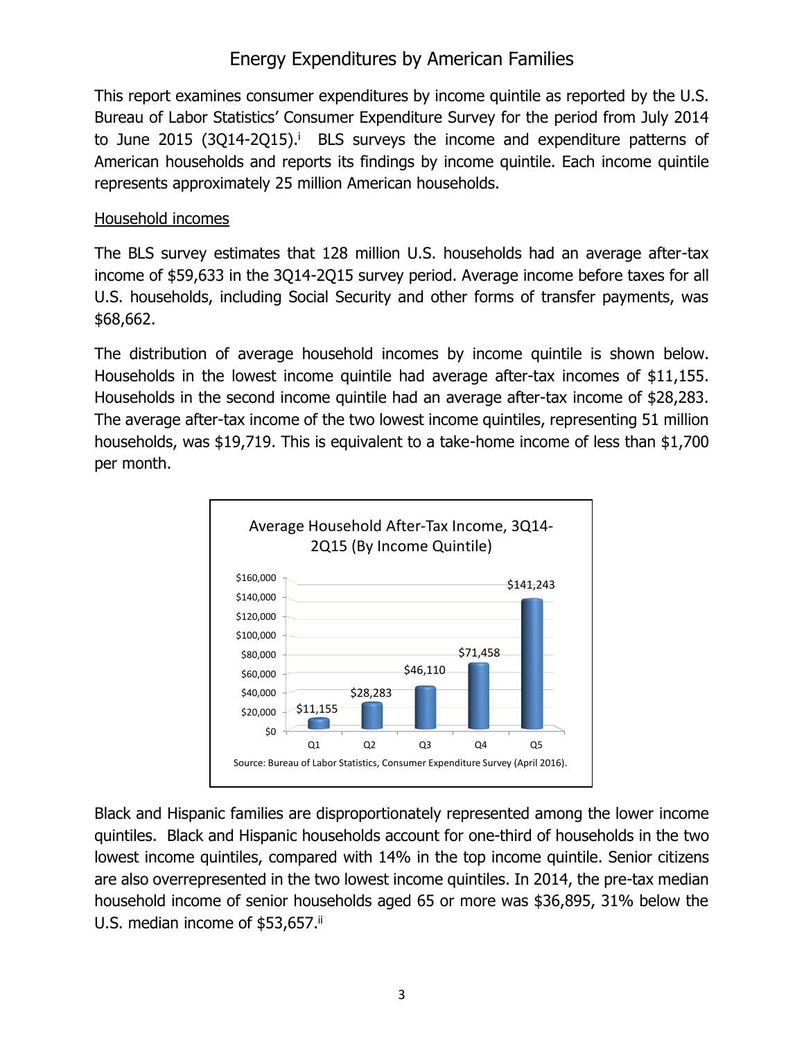## Energy Expenditures by American Families

This report examines consumer expenditures by income quintile as reported by the U.S. Bureau of Labor Statistics' Consumer Expenditure Survey for the period from July 2014 to June 2015 (3Q14-2Q15).<sup>i</sup> BLS surveys the income and expenditure patterns of American households and reports its findings by income quintile. Each income quintile represents approximately 25 million American households.

### Household incomes

The BLS survey estimates that 128 million U.S. households had an average after-tax income of \$59,633 in the 3Q14-2Q15 survey period. Average income before taxes for all U.S. households, including Social Security and other forms of transfer payments, was \$68,662.

The distribution of average household incomes by income quintile is shown below. Households in the lowest income quintile had average after-tax incomes of \$11,155. Households in the second income quintile had an average after-tax income of \$28,283. The average after-tax income of the two lowest income quintiles, representing 51 million households, was \$19,719. This is equivalent to a take-home income of less than \$1,700 per month.



Black and Hispanic families are disproportionately represented among the lower income quintiles. Black and Hispanic households account for one-third of households in the two lowest income quintiles, compared with 14% in the top income quintile. Senior citizens are also overrepresented in the two lowest income quintiles. In 2014, the pre-tax median household income of senior households aged 65 or more was \$36,895, 31% below the U.S. median income of  $$53,657$ .<sup>ii</sup>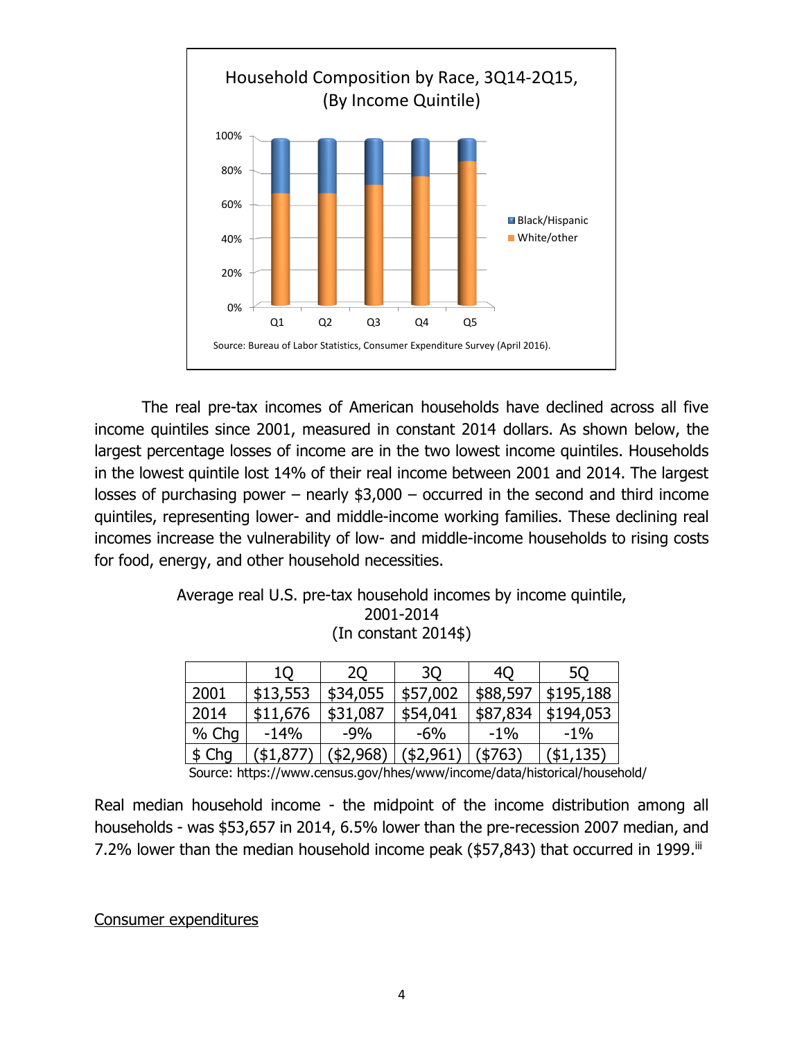

The real pre-tax incomes of American households have declined across all five income quintiles since 2001, measured in constant 2014 dollars. As shown below, the largest percentage losses of income are in the two lowest income quintiles. Households in the lowest quintile lost 14% of their real income between 2001 and 2014. The largest losses of purchasing power – nearly  $$3,000$  – occurred in the second and third income quintiles, representing lower- and middle-income working families. These declining real incomes increase the vulnerability of low- and middle-income households to rising costs for food, energy, and other household necessities.

> Average real U.S. pre-tax household incomes by income quintile, 2001-2014 (In constant 2014\$)

|       | 10       | 20       | 3Q        | 40       | 5Q        |
|-------|----------|----------|-----------|----------|-----------|
| 2001  | \$13,553 | \$34,055 | \$57,002  | \$88,597 | \$195,188 |
| 2014  | \$11,676 | \$31,087 | \$54,041  | \$87,834 | \$194,053 |
| % Chg | $-14%$   | $-9%$    | $-6\%$    | $-1\%$   | $-1\%$    |
| \$Chq | (\$1,877 | \$2,968) | (\$2,961) | (\$763)  | (\$1,135) |

Source: https://www.census.gov/hhes/www/income/data/historical/household/

Real median household income - the midpoint of the income distribution among all households - was \$53,657 in 2014, 6.5% lower than the pre-recession 2007 median, and 7.2% lower than the median household income peak (\$57,843) that occurred in 1999.<sup>iii</sup>

#### Consumer expenditures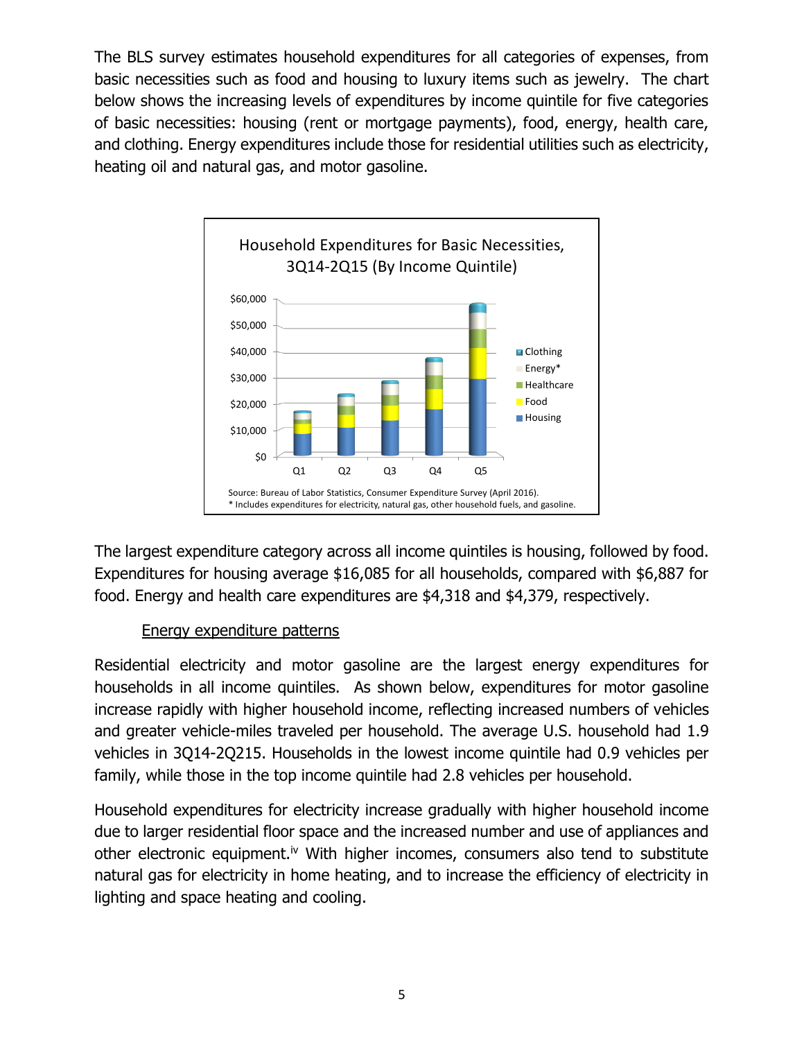The BLS survey estimates household expenditures for all categories of expenses, from basic necessities such as food and housing to luxury items such as jewelry. The chart below shows the increasing levels of expenditures by income quintile for five categories of basic necessities: housing (rent or mortgage payments), food, energy, health care, and clothing. Energy expenditures include those for residential utilities such as electricity, heating oil and natural gas, and motor gasoline.



The largest expenditure category across all income quintiles is housing, followed by food. Expenditures for housing average \$16,085 for all households, compared with \$6,887 for food. Energy and health care expenditures are \$4,318 and \$4,379, respectively.

#### Energy expenditure patterns

Residential electricity and motor gasoline are the largest energy expenditures for households in all income quintiles. As shown below, expenditures for motor gasoline increase rapidly with higher household income, reflecting increased numbers of vehicles and greater vehicle-miles traveled per household. The average U.S. household had 1.9 vehicles in 3Q14-2Q215. Households in the lowest income quintile had 0.9 vehicles per family, while those in the top income quintile had 2.8 vehicles per household.

Household expenditures for electricity increase gradually with higher household income due to larger residential floor space and the increased number and use of appliances and other electronic equipment.<sup>iv</sup> With higher incomes, consumers also tend to substitute natural gas for electricity in home heating, and to increase the efficiency of electricity in lighting and space heating and cooling.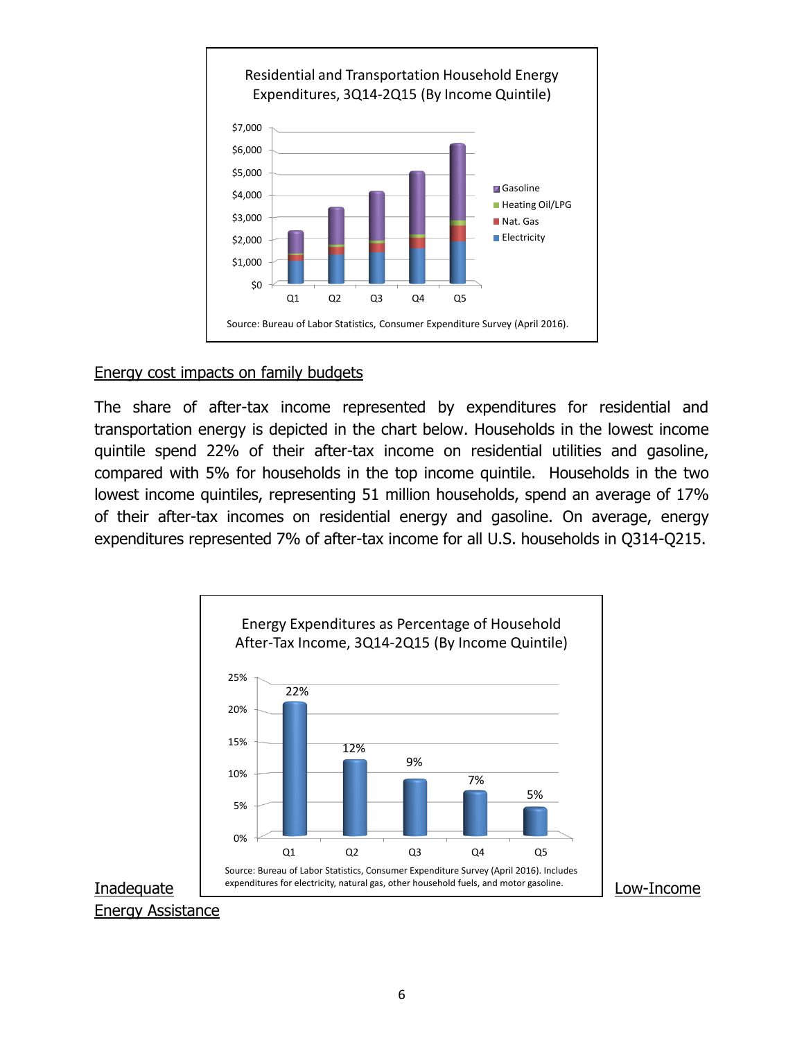

#### Energy cost impacts on family budgets

The share of after-tax income represented by expenditures for residential and transportation energy is depicted in the chart below. Households in the lowest income quintile spend 22% of their after-tax income on residential utilities and gasoline, compared with 5% for households in the top income quintile. Households in the two lowest income quintiles, representing 51 million households, spend an average of 17% of their after-tax incomes on residential energy and gasoline. On average, energy expenditures represented 7% of after-tax income for all U.S. households in Q314-Q215.

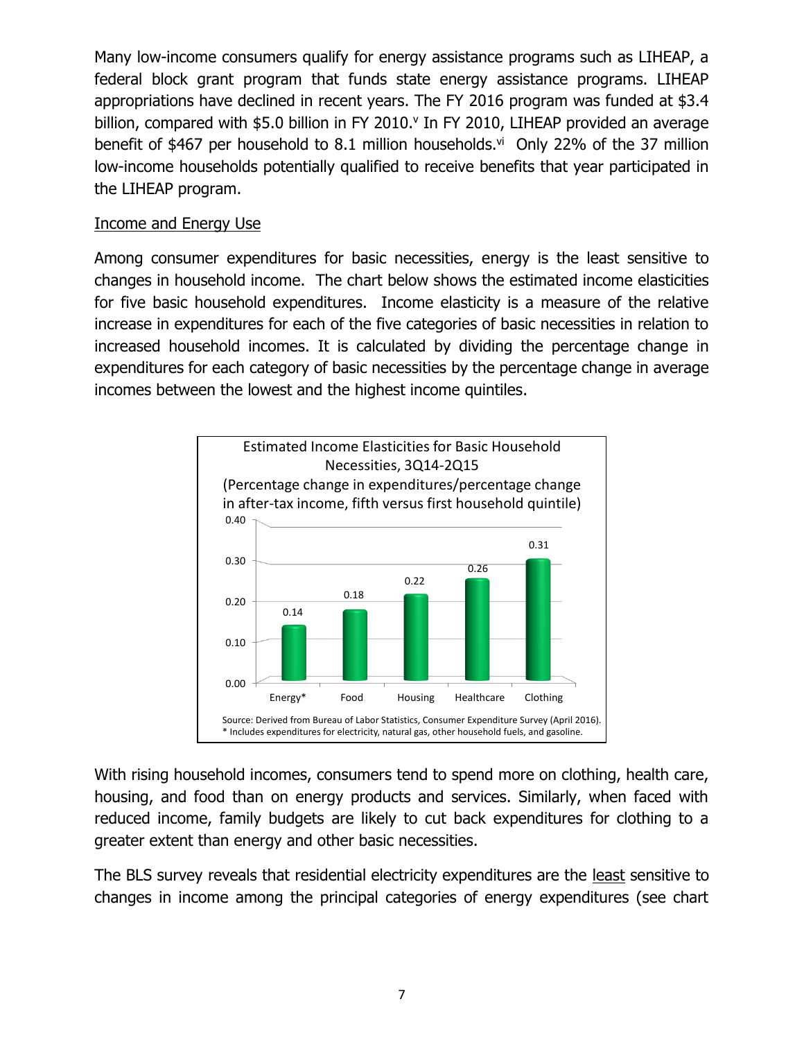Many low-income consumers qualify for energy assistance programs such as LIHEAP, a federal block grant program that funds state energy assistance programs. LIHEAP appropriations have declined in recent years. The FY 2016 program was funded at \$3.4 billion, compared with  $$5.0$  billion in FY 2010. $^{\circ}$  In FY 2010, LIHEAP provided an average benefit of \$467 per household to 8.1 million households. $vi$  Only 22% of the 37 million low-income households potentially qualified to receive benefits that year participated in the LIHEAP program.

#### Income and Energy Use

Among consumer expenditures for basic necessities, energy is the least sensitive to changes in household income. The chart below shows the estimated income elasticities for five basic household expenditures. Income elasticity is a measure of the relative increase in expenditures for each of the five categories of basic necessities in relation to increased household incomes. It is calculated by dividing the percentage change in expenditures for each category of basic necessities by the percentage change in average incomes between the lowest and the highest income quintiles.



With rising household incomes, consumers tend to spend more on clothing, health care, housing, and food than on energy products and services. Similarly, when faced with reduced income, family budgets are likely to cut back expenditures for clothing to a greater extent than energy and other basic necessities.

The BLS survey reveals that residential electricity expenditures are the least sensitive to changes in income among the principal categories of energy expenditures (see chart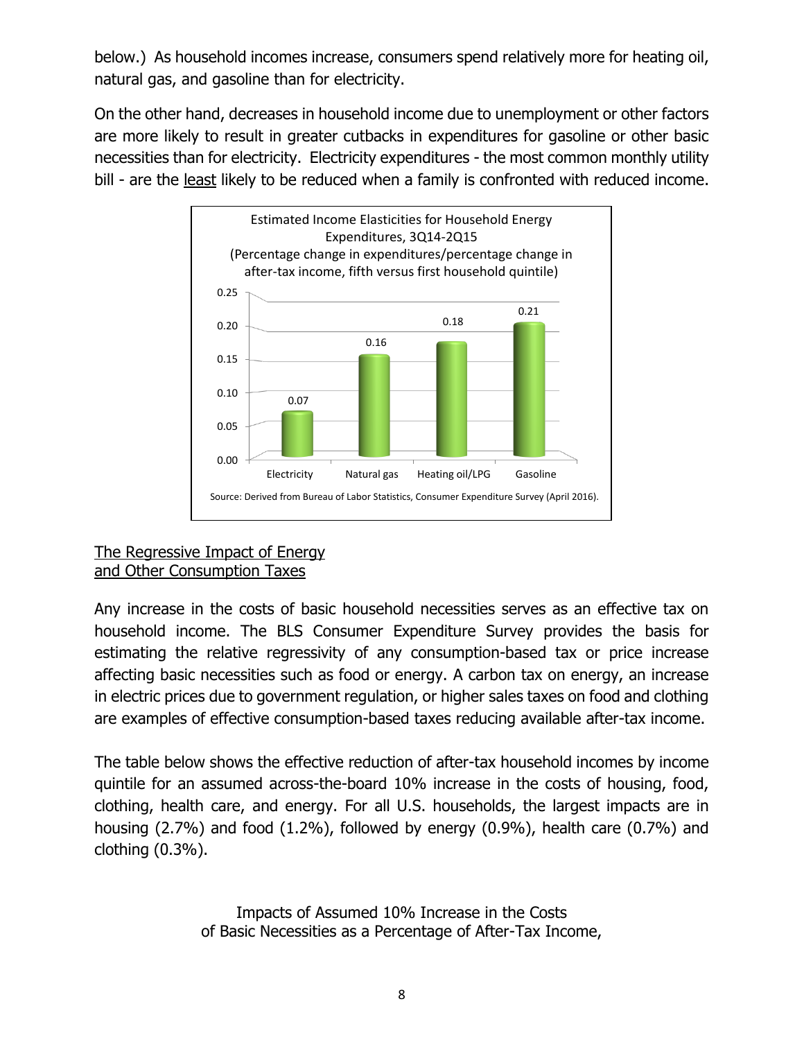below.) As household incomes increase, consumers spend relatively more for heating oil, natural gas, and gasoline than for electricity.

On the other hand, decreases in household income due to unemployment or other factors are more likely to result in greater cutbacks in expenditures for gasoline or other basic necessities than for electricity. Electricity expenditures - the most common monthly utility bill - are the least likely to be reduced when a family is confronted with reduced income.



#### The Regressive Impact of Energy and Other Consumption Taxes

Any increase in the costs of basic household necessities serves as an effective tax on household income. The BLS Consumer Expenditure Survey provides the basis for estimating the relative regressivity of any consumption-based tax or price increase affecting basic necessities such as food or energy. A carbon tax on energy, an increase in electric prices due to government regulation, or higher sales taxes on food and clothing are examples of effective consumption-based taxes reducing available after-tax income.

The table below shows the effective reduction of after-tax household incomes by income quintile for an assumed across-the-board 10% increase in the costs of housing, food, clothing, health care, and energy. For all U.S. households, the largest impacts are in housing (2.7%) and food (1.2%), followed by energy (0.9%), health care (0.7%) and clothing (0.3%).

> Impacts of Assumed 10% Increase in the Costs of Basic Necessities as a Percentage of After-Tax Income,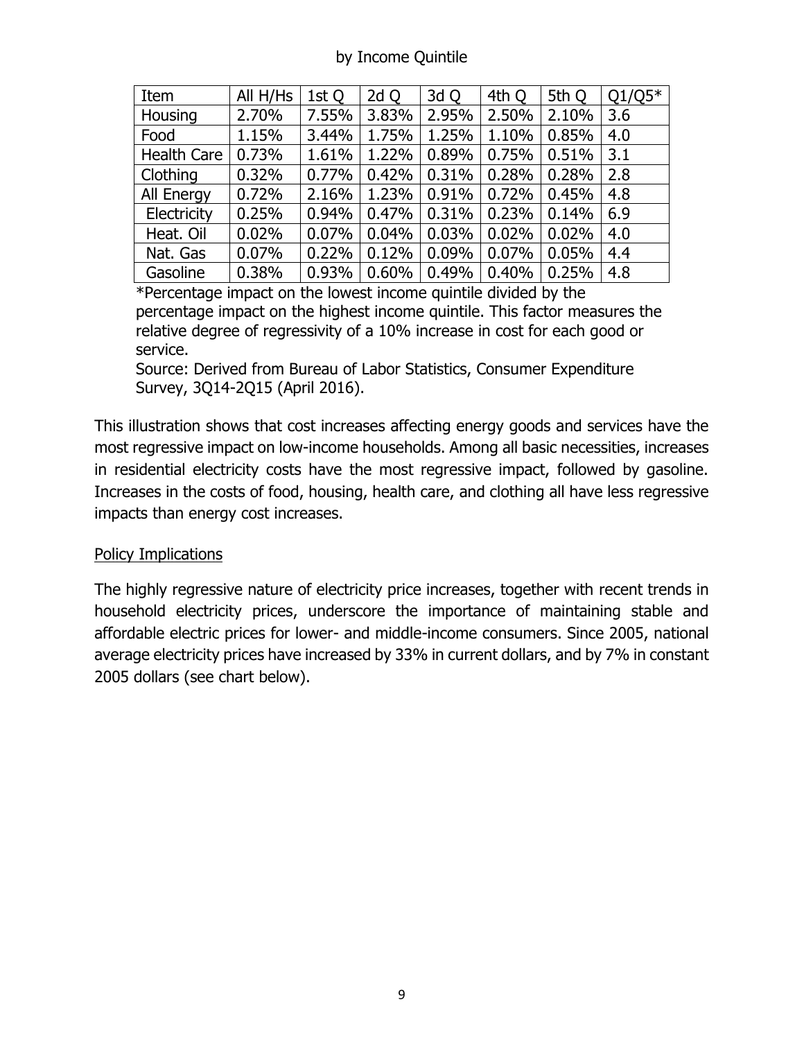### by Income Quintile

| Item               | All H/Hs | 1st Q | 2d Q  | 3d Q  | 4th Q | 5th Q | $Q1/Q5*$ |
|--------------------|----------|-------|-------|-------|-------|-------|----------|
| Housing            | 2.70%    | 7.55% | 3.83% | 2.95% | 2.50% | 2.10% | 3.6      |
| Food               | 1.15%    | 3.44% | 1.75% | 1.25% | 1.10% | 0.85% | 4.0      |
| <b>Health Care</b> | 0.73%    | 1.61% | 1.22% | 0.89% | 0.75% | 0.51% | 3.1      |
| Clothing           | 0.32%    | 0.77% | 0.42% | 0.31% | 0.28% | 0.28% | 2.8      |
| <b>All Energy</b>  | 0.72%    | 2.16% | 1.23% | 0.91% | 0.72% | 0.45% | 4.8      |
| Electricity        | 0.25%    | 0.94% | 0.47% | 0.31% | 0.23% | 0.14% | 6.9      |
| Heat. Oil          | 0.02%    | 0.07% | 0.04% | 0.03% | 0.02% | 0.02% | 4.0      |
| Nat. Gas           | 0.07%    | 0.22% | 0.12% | 0.09% | 0.07% | 0.05% | 4.4      |
| Gasoline           | 0.38%    | 0.93% | 0.60% | 0.49% | 0.40% | 0.25% | 4.8      |

\*Percentage impact on the lowest income quintile divided by the percentage impact on the highest income quintile. This factor measures the relative degree of regressivity of a 10% increase in cost for each good or service.

Source: Derived from Bureau of Labor Statistics, Consumer Expenditure Survey, 3Q14-2Q15 (April 2016).

This illustration shows that cost increases affecting energy goods and services have the most regressive impact on low-income households. Among all basic necessities, increases in residential electricity costs have the most regressive impact, followed by gasoline. Increases in the costs of food, housing, health care, and clothing all have less regressive impacts than energy cost increases.

#### Policy Implications

The highly regressive nature of electricity price increases, together with recent trends in household electricity prices, underscore the importance of maintaining stable and affordable electric prices for lower- and middle-income consumers. Since 2005, national average electricity prices have increased by 33% in current dollars, and by 7% in constant 2005 dollars (see chart below).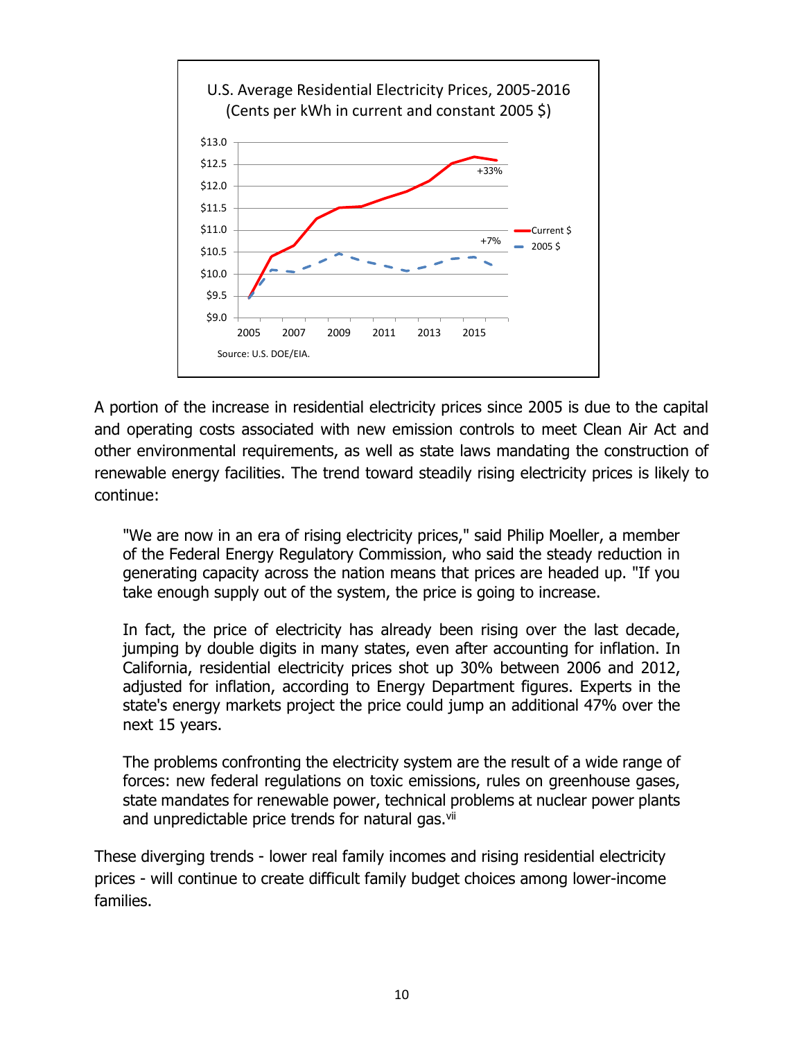

A portion of the increase in residential electricity prices since 2005 is due to the capital and operating costs associated with new emission controls to meet Clean Air Act and other environmental requirements, as well as state laws mandating the construction of renewable energy facilities. The trend toward steadily rising electricity prices is likely to continue:

"We are now in an era of rising electricity prices," said Philip Moeller, a member of the Federal Energy Regulatory Commission, who said the steady reduction in generating capacity across the nation means that prices are headed up. "If you take enough supply out of the system, the price is going to increase.

In fact, the price of electricity has already been rising over the last decade, jumping by double digits in many states, even after accounting for inflation. In California, residential electricity prices shot up 30% between 2006 and 2012, adjusted for inflation, according to Energy Department figures. Experts in the state's energy markets project the price could jump an additional 47% over the next 15 years.

The problems confronting the electricity system are the result of a wide range of forces: new federal regulations on toxic emissions, rules on greenhouse gases, state mandates for renewable power, technical problems at nuclear power plants and unpredictable price trends for natural gas.<sup>vii</sup>

These diverging trends - lower real family incomes and rising residential electricity prices - will continue to create difficult family budget choices among lower-income families.